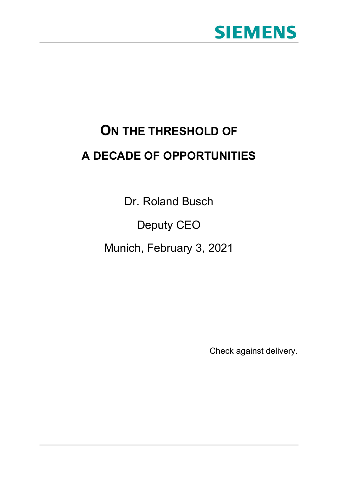

# **ON THE THRESHOLD OF A DECADE OF OPPORTUNITIES**

Dr. Roland Busch

Deputy CEO

Munich, February 3, 2021

Check against delivery.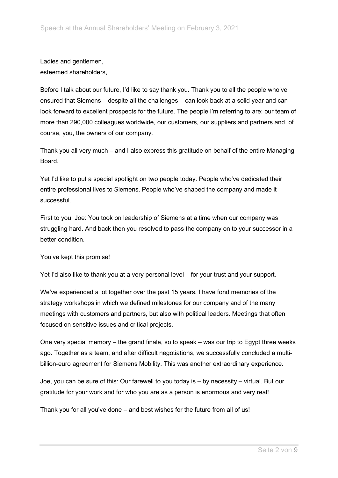Ladies and gentlemen, esteemed shareholders,

Before I talk about our future, I'd like to say thank you. Thank you to all the people who've ensured that Siemens – despite all the challenges – can look back at a solid year and can look forward to excellent prospects for the future. The people I'm referring to are: our team of more than 290,000 colleagues worldwide, our customers, our suppliers and partners and, of course, you, the owners of our company.

Thank you all very much – and I also express this gratitude on behalf of the entire Managing **Board** 

Yet I'd like to put a special spotlight on two people today. People who've dedicated their entire professional lives to Siemens. People who've shaped the company and made it successful.

First to you, Joe: You took on leadership of Siemens at a time when our company was struggling hard. And back then you resolved to pass the company on to your successor in a better condition.

You've kept this promise!

Yet I'd also like to thank you at a very personal level – for your trust and your support.

We've experienced a lot together over the past 15 years. I have fond memories of the strategy workshops in which we defined milestones for our company and of the many meetings with customers and partners, but also with political leaders. Meetings that often focused on sensitive issues and critical projects.

One very special memory – the grand finale, so to speak – was our trip to Egypt three weeks ago. Together as a team, and after difficult negotiations, we successfully concluded a multibillion-euro agreement for Siemens Mobility. This was another extraordinary experience.

Joe, you can be sure of this: Our farewell to you today is – by necessity – virtual. But our gratitude for your work and for who you are as a person is enormous and very real!

Thank you for all you've done – and best wishes for the future from all of us!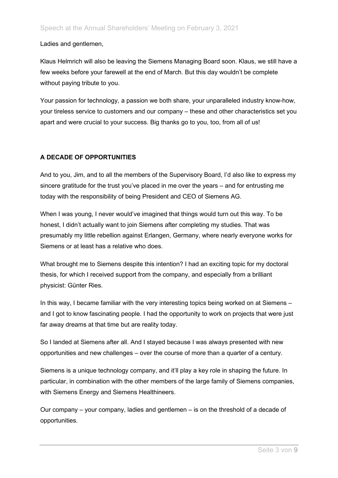Ladies and gentlemen,

Klaus Helmrich will also be leaving the Siemens Managing Board soon. Klaus, we still have a few weeks before your farewell at the end of March. But this day wouldn't be complete without paying tribute to you.

Your passion for technology, a passion we both share, your unparalleled industry know-how, your tireless service to customers and our company – these and other characteristics set you apart and were crucial to your success. Big thanks go to you, too, from all of us!

## **A DECADE OF OPPORTUNITIES**

And to you, Jim, and to all the members of the Supervisory Board, I'd also like to express my sincere gratitude for the trust you've placed in me over the years – and for entrusting me today with the responsibility of being President and CEO of Siemens AG.

When I was young, I never would've imagined that things would turn out this way. To be honest, I didn't actually want to join Siemens after completing my studies. That was presumably my little rebellion against Erlangen, Germany, where nearly everyone works for Siemens or at least has a relative who does.

What brought me to Siemens despite this intention? I had an exciting topic for my doctoral thesis, for which I received support from the company, and especially from a brilliant physicist: Günter Ries.

In this way, I became familiar with the very interesting topics being worked on at Siemens – and I got to know fascinating people. I had the opportunity to work on projects that were just far away dreams at that time but are reality today.

So I landed at Siemens after all. And I stayed because I was always presented with new opportunities and new challenges – over the course of more than a quarter of a century.

Siemens is a unique technology company, and it'll play a key role in shaping the future. In particular, in combination with the other members of the large family of Siemens companies, with Siemens Energy and Siemens Healthineers.

Our company – your company, ladies and gentlemen – is on the threshold of a decade of opportunities.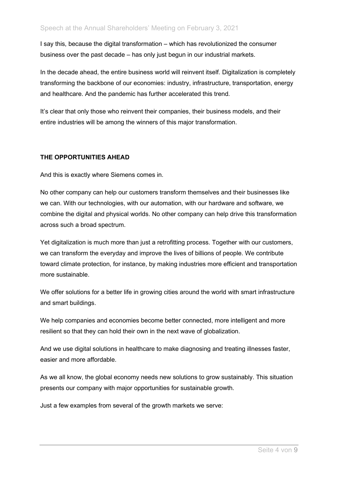I say this, because the digital transformation – which has revolutionized the consumer business over the past decade – has only just begun in our industrial markets.

In the decade ahead, the entire business world will reinvent itself. Digitalization is completely transforming the backbone of our economies: industry, infrastructure, transportation, energy and healthcare. And the pandemic has further accelerated this trend.

It's clear that only those who reinvent their companies, their business models, and their entire industries will be among the winners of this major transformation.

## **THE OPPORTUNITIES AHEAD**

And this is exactly where Siemens comes in.

No other company can help our customers transform themselves and their businesses like we can. With our technologies, with our automation, with our hardware and software, we combine the digital and physical worlds. No other company can help drive this transformation across such a broad spectrum.

Yet digitalization is much more than just a retrofitting process. Together with our customers, we can transform the everyday and improve the lives of billions of people. We contribute toward climate protection, for instance, by making industries more efficient and transportation more sustainable.

We offer solutions for a better life in growing cities around the world with smart infrastructure and smart buildings.

We help companies and economies become better connected, more intelligent and more resilient so that they can hold their own in the next wave of globalization.

And we use digital solutions in healthcare to make diagnosing and treating illnesses faster, easier and more affordable.

As we all know, the global economy needs new solutions to grow sustainably. This situation presents our company with major opportunities for sustainable growth.

Just a few examples from several of the growth markets we serve: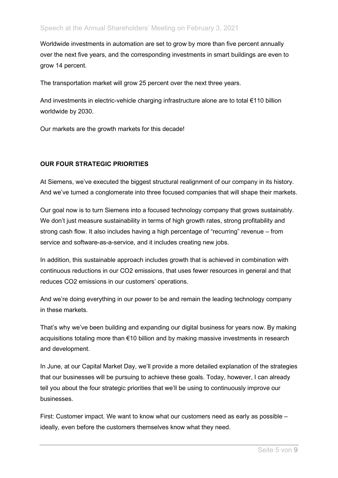Worldwide investments in automation are set to grow by more than five percent annually over the next five years, and the corresponding investments in smart buildings are even to grow 14 percent.

The transportation market will grow 25 percent over the next three years.

And investments in electric-vehicle charging infrastructure alone are to total €110 billion worldwide by 2030.

Our markets are the growth markets for this decade!

### **OUR FOUR STRATEGIC PRIORITIES**

At Siemens, we've executed the biggest structural realignment of our company in its history. And we've turned a conglomerate into three focused companies that will shape their markets.

Our goal now is to turn Siemens into a focused technology company that grows sustainably. We don't just measure sustainability in terms of high growth rates, strong profitability and strong cash flow. It also includes having a high percentage of "recurring" revenue – from service and software-as-a-service, and it includes creating new jobs.

In addition, this sustainable approach includes growth that is achieved in combination with continuous reductions in our CO2 emissions, that uses fewer resources in general and that reduces CO2 emissions in our customers' operations.

And we're doing everything in our power to be and remain the leading technology company in these markets.

That's why we've been building and expanding our digital business for years now. By making acquisitions totaling more than €10 billion and by making massive investments in research and development.

In June, at our Capital Market Day, we'll provide a more detailed explanation of the strategies that our businesses will be pursuing to achieve these goals. Today, however, I can already tell you about the four strategic priorities that we'll be using to continuously improve our businesses.

First: Customer impact. We want to know what our customers need as early as possible – ideally, even before the customers themselves know what they need.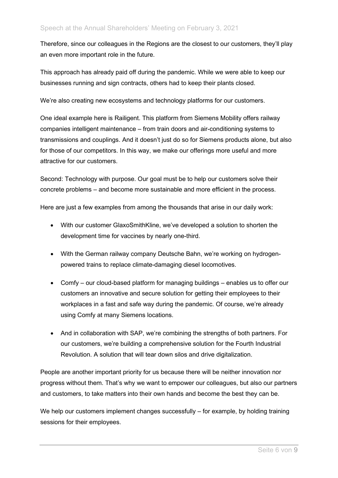Therefore, since our colleagues in the Regions are the closest to our customers, they'll play an even more important role in the future.

This approach has already paid off during the pandemic. While we were able to keep our businesses running and sign contracts, others had to keep their plants closed.

We're also creating new ecosystems and technology platforms for our customers.

One ideal example here is Railigent. This platform from Siemens Mobility offers railway companies intelligent maintenance – from train doors and air-conditioning systems to transmissions and couplings. And it doesn't just do so for Siemens products alone, but also for those of our competitors. In this way, we make our offerings more useful and more attractive for our customers.

Second: Technology with purpose. Our goal must be to help our customers solve their concrete problems – and become more sustainable and more efficient in the process.

Here are just a few examples from among the thousands that arise in our daily work:

- With our customer GlaxoSmithKline, we've developed a solution to shorten the development time for vaccines by nearly one-third.
- With the German railway company Deutsche Bahn, we're working on hydrogenpowered trains to replace climate-damaging diesel locomotives.
- Comfy our cloud-based platform for managing buildings enables us to offer our customers an innovative and secure solution for getting their employees to their workplaces in a fast and safe way during the pandemic. Of course, we're already using Comfy at many Siemens locations.
- And in collaboration with SAP, we're combining the strengths of both partners. For our customers, we're building a comprehensive solution for the Fourth Industrial Revolution. A solution that will tear down silos and drive digitalization.

People are another important priority for us because there will be neither innovation nor progress without them. That's why we want to empower our colleagues, but also our partners and customers, to take matters into their own hands and become the best they can be.

We help our customers implement changes successfully – for example, by holding training sessions for their employees.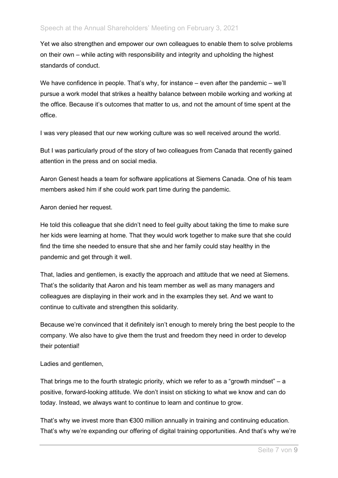Yet we also strengthen and empower our own colleagues to enable them to solve problems on their own – while acting with responsibility and integrity and upholding the highest standards of conduct.

We have confidence in people. That's why, for instance – even after the pandemic – we'll pursue a work model that strikes a healthy balance between mobile working and working at the office. Because it's outcomes that matter to us, and not the amount of time spent at the office.

I was very pleased that our new working culture was so well received around the world.

But I was particularly proud of the story of two colleagues from Canada that recently gained attention in the press and on social media.

Aaron Genest heads a team for software applications at Siemens Canada. One of his team members asked him if she could work part time during the pandemic.

### Aaron denied her request.

He told this colleague that she didn't need to feel guilty about taking the time to make sure her kids were learning at home. That they would work together to make sure that she could find the time she needed to ensure that she and her family could stay healthy in the pandemic and get through it well.

That, ladies and gentlemen, is exactly the approach and attitude that we need at Siemens. That's the solidarity that Aaron and his team member as well as many managers and colleagues are displaying in their work and in the examples they set. And we want to continue to cultivate and strengthen this solidarity.

Because we're convinced that it definitely isn't enough to merely bring the best people to the company. We also have to give them the trust and freedom they need in order to develop their potential!

#### Ladies and gentlemen,

That brings me to the fourth strategic priority, which we refer to as a "growth mindset" – a positive, forward-looking attitude. We don't insist on sticking to what we know and can do today. Instead, we always want to continue to learn and continue to grow.

That's why we invest more than €300 million annually in training and continuing education. That's why we're expanding our offering of digital training opportunities. And that's why we're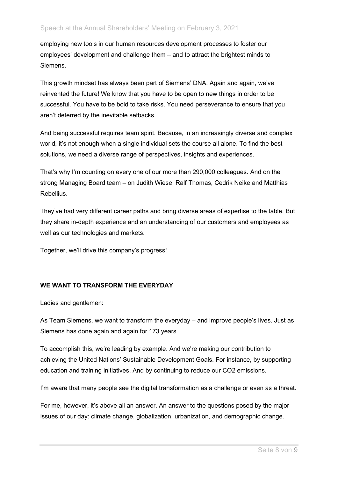employing new tools in our human resources development processes to foster our employees' development and challenge them – and to attract the brightest minds to Siemens.

This growth mindset has always been part of Siemens' DNA. Again and again, we've reinvented the future! We know that you have to be open to new things in order to be successful. You have to be bold to take risks. You need perseverance to ensure that you aren't deterred by the inevitable setbacks.

And being successful requires team spirit. Because, in an increasingly diverse and complex world, it's not enough when a single individual sets the course all alone. To find the best solutions, we need a diverse range of perspectives, insights and experiences.

That's why I'm counting on every one of our more than 290,000 colleagues. And on the strong Managing Board team – on Judith Wiese, Ralf Thomas, Cedrik Neike and Matthias Rebellius.

They've had very different career paths and bring diverse areas of expertise to the table. But they share in-depth experience and an understanding of our customers and employees as well as our technologies and markets.

Together, we'll drive this company's progress!

## **WE WANT TO TRANSFORM THE EVERYDAY**

Ladies and gentlemen:

As Team Siemens, we want to transform the everyday – and improve people's lives. Just as Siemens has done again and again for 173 years.

To accomplish this, we're leading by example. And we're making our contribution to achieving the United Nations' Sustainable Development Goals. For instance, by supporting education and training initiatives. And by continuing to reduce our CO2 emissions.

I'm aware that many people see the digital transformation as a challenge or even as a threat.

For me, however, it's above all an answer. An answer to the questions posed by the major issues of our day: climate change, globalization, urbanization, and demographic change.